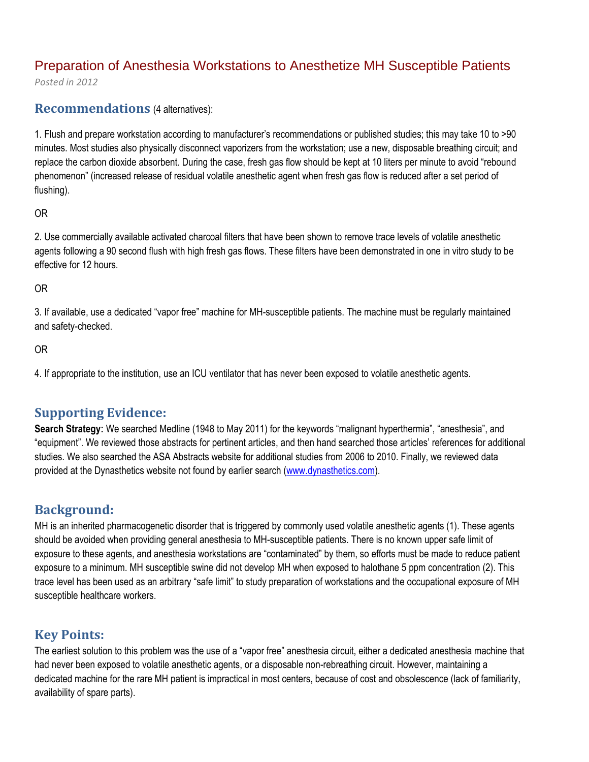# Preparation of Anesthesia Workstations to Anesthetize MH Susceptible Patients

*Posted in 2012*

### **Recommendations** (4 alternatives):

1. Flush and prepare workstation according to manufacturer's recommendations or published studies; this may take 10 to >90 minutes. Most studies also physically disconnect vaporizers from the workstation; use a new, disposable breathing circuit; and replace the carbon dioxide absorbent. During the case, fresh gas flow should be kept at 10 liters per minute to avoid "rebound phenomenon" (increased release of residual volatile anesthetic agent when fresh gas flow is reduced after a set period of flushing).

### OR

2. Use commercially available activated charcoal filters that have been shown to remove trace levels of volatile anesthetic agents following a 90 second flush with high fresh gas flows. These filters have been demonstrated in one in vitro study to be effective for 12 hours.

### OR

3. If available, use a dedicated "vapor free" machine for MH-susceptible patients. The machine must be regularly maintained and safety-checked.

### OR

4. If appropriate to the institution, use an ICU ventilator that has never been exposed to volatile anesthetic agents.

# **Supporting Evidence:**

**Search Strategy:** We searched Medline (1948 to May 2011) for the keywords "malignant hyperthermia", "anesthesia", and "equipment". We reviewed those abstracts for pertinent articles, and then hand searched those articles' references for additional studies. We also searched the ASA Abstracts website for additional studies from 2006 to 2010. Finally, we reviewed data provided at the Dynasthetics website not found by earlier search [\(www.dynasthetics.com\)](http://www.dynasthetics.com/).

# **Background:**

MH is an inherited pharmacogenetic disorder that is triggered by commonly used volatile anesthetic agents (1). These agents should be avoided when providing general anesthesia to MH-susceptible patients. There is no known upper safe limit of exposure to these agents, and anesthesia workstations are "contaminated" by them, so efforts must be made to reduce patient exposure to a minimum. MH susceptible swine did not develop MH when exposed to halothane 5 ppm concentration (2). This trace level has been used as an arbitrary "safe limit" to study preparation of workstations and the occupational exposure of MH susceptible healthcare workers.

## **Key Points:**

The earliest solution to this problem was the use of a "vapor free" anesthesia circuit, either a dedicated anesthesia machine that had never been exposed to volatile anesthetic agents, or a disposable non-rebreathing circuit. However, maintaining a dedicated machine for the rare MH patient is impractical in most centers, because of cost and obsolescence (lack of familiarity, availability of spare parts).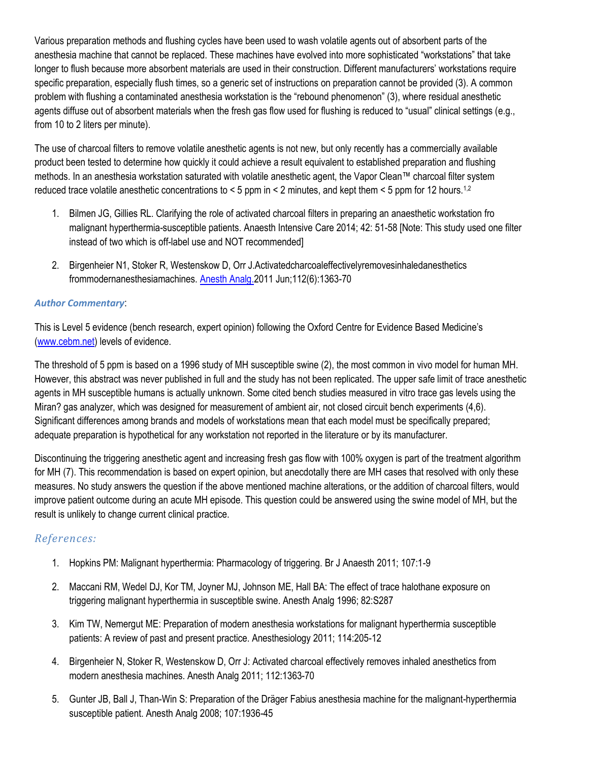Various preparation methods and flushing cycles have been used to wash volatile agents out of absorbent parts of the anesthesia machine that cannot be replaced. These machines have evolved into more sophisticated "workstations" that take longer to flush because more absorbent materials are used in their construction. Different manufacturers' workstations require specific preparation, especially flush times, so a generic set of instructions on preparation cannot be provided (3). A common problem with flushing a contaminated anesthesia workstation is the "rebound phenomenon" (3), where residual anesthetic agents diffuse out of absorbent materials when the fresh gas flow used for flushing is reduced to "usual" clinical settings (e.g., from 10 to 2 liters per minute).

The use of charcoal filters to remove volatile anesthetic agents is not new, but only recently has a commercially available product been tested to determine how quickly it could achieve a result equivalent to established preparation and flushing methods. In an anesthesia workstation saturated with volatile anesthetic agent, the Vapor Clean™ charcoal filter system reduced trace volatile anesthetic concentrations to < 5 ppm in < 2 minutes, and kept them < 5 ppm for 12 hours.1,2

- 1. Bilmen JG, Gillies RL. Clarifying the role of activated charcoal filters in preparing an anaesthetic workstation fro malignant hyperthermia-susceptible patients. Anaesth Intensive Care 2014; 42: 51-58 [Note: This study used one filter instead of two which is off-label use and NOT recommended]
- 2. Birgenheier N1, Stoker R, Westenskow D, Orr J.Activatedcharcoaleffectivelyremovesinhaledanesthetics frommodernanesthesiamachines. [Anesth Analg.2](http://www.ncbi.nlm.nih.gov/pubmed/?term=activated+charcoal+effectively+removes+inhaled+anestehtics+from+modern+anesthesia+machines)011 Jun;112(6):1363-70

### *Author Commentary*:

This is Level 5 evidence (bench research, expert opinion) following the Oxford Centre for Evidence Based Medicine's [\(www.cebm.net\)](http://www.cebm.net/) levels of evidence.

The threshold of 5 ppm is based on a 1996 study of MH susceptible swine (2), the most common in vivo model for human MH. However, this abstract was never published in full and the study has not been replicated. The upper safe limit of trace anesthetic agents in MH susceptible humans is actually unknown. Some cited bench studies measured in vitro trace gas levels using the Miran? gas analyzer, which was designed for measurement of ambient air, not closed circuit bench experiments (4,6). Significant differences among brands and models of workstations mean that each model must be specifically prepared; adequate preparation is hypothetical for any workstation not reported in the literature or by its manufacturer.

Discontinuing the triggering anesthetic agent and increasing fresh gas flow with 100% oxygen is part of the treatment algorithm for MH (7). This recommendation is based on expert opinion, but anecdotally there are MH cases that resolved with only these measures. No study answers the question if the above mentioned machine alterations, or the addition of charcoal filters, would improve patient outcome during an acute MH episode. This question could be answered using the swine model of MH, but the result is unlikely to change current clinical practice.

## *References:*

- 1. Hopkins PM: Malignant hyperthermia: Pharmacology of triggering. Br J Anaesth 2011; 107:1-9
- 2. Maccani RM, Wedel DJ, Kor TM, Joyner MJ, Johnson ME, Hall BA: The effect of trace halothane exposure on triggering malignant hyperthermia in susceptible swine. Anesth Analg 1996; 82:S287
- 3. Kim TW, Nemergut ME: Preparation of modern anesthesia workstations for malignant hyperthermia susceptible patients: A review of past and present practice. Anesthesiology 2011; 114:205-12
- 4. Birgenheier N, Stoker R, Westenskow D, Orr J: Activated charcoal effectively removes inhaled anesthetics from modern anesthesia machines. Anesth Analg 2011; 112:1363-70
- 5. Gunter JB, Ball J, Than-Win S: Preparation of the Dräger Fabius anesthesia machine for the malignant-hyperthermia susceptible patient. Anesth Analg 2008; 107:1936-45